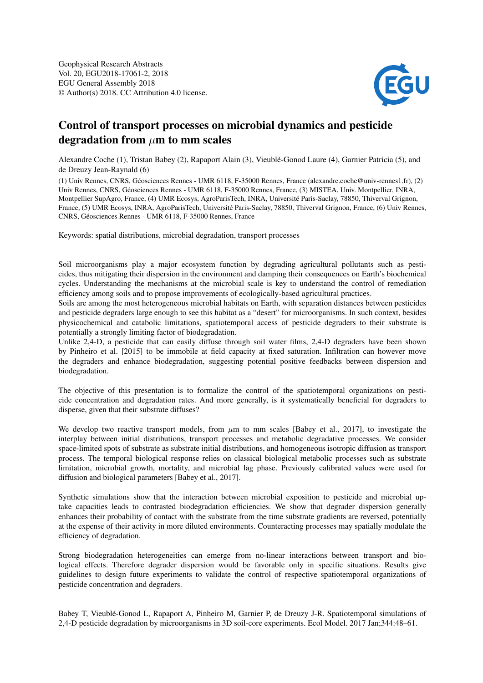

## Control of transport processes on microbial dynamics and pesticide degradation from  $\mu$ m to mm scales

Alexandre Coche (1), Tristan Babey (2), Rapaport Alain (3), Vieublé-Gonod Laure (4), Garnier Patricia (5), and de Dreuzy Jean-Raynald (6)

(1) Univ Rennes, CNRS, Géosciences Rennes - UMR 6118, F-35000 Rennes, France (alexandre.coche@univ-rennes1.fr), (2) Univ Rennes, CNRS, Géosciences Rennes - UMR 6118, F-35000 Rennes, France, (3) MISTEA, Univ. Montpellier, INRA, Montpellier SupAgro, France, (4) UMR Ecosys, AgroParisTech, INRA, Université Paris-Saclay, 78850, Thiverval Grignon, France, (5) UMR Ecosys, INRA, AgroParisTech, Université Paris-Saclay, 78850, Thiverval Grignon, France, (6) Univ Rennes, CNRS, Géosciences Rennes - UMR 6118, F-35000 Rennes, France

Keywords: spatial distributions, microbial degradation, transport processes

Soil microorganisms play a major ecosystem function by degrading agricultural pollutants such as pesticides, thus mitigating their dispersion in the environment and damping their consequences on Earth's biochemical cycles. Understanding the mechanisms at the microbial scale is key to understand the control of remediation efficiency among soils and to propose improvements of ecologically-based agricultural practices.

Soils are among the most heterogeneous microbial habitats on Earth, with separation distances between pesticides and pesticide degraders large enough to see this habitat as a "desert" for microorganisms. In such context, besides physicochemical and catabolic limitations, spatiotemporal access of pesticide degraders to their substrate is potentially a strongly limiting factor of biodegradation.

Unlike 2,4-D, a pesticide that can easily diffuse through soil water films, 2,4-D degraders have been shown by Pinheiro et al. [2015] to be immobile at field capacity at fixed saturation. Infiltration can however move the degraders and enhance biodegradation, suggesting potential positive feedbacks between dispersion and biodegradation.

The objective of this presentation is to formalize the control of the spatiotemporal organizations on pesticide concentration and degradation rates. And more generally, is it systematically beneficial for degraders to disperse, given that their substrate diffuses?

We develop two reactive transport models, from  $\mu$ m to mm scales [Babey et al., 2017], to investigate the interplay between initial distributions, transport processes and metabolic degradative processes. We consider space-limited spots of substrate as substrate initial distributions, and homogeneous isotropic diffusion as transport process. The temporal biological response relies on classical biological metabolic processes such as substrate limitation, microbial growth, mortality, and microbial lag phase. Previously calibrated values were used for diffusion and biological parameters [Babey et al., 2017].

Synthetic simulations show that the interaction between microbial exposition to pesticide and microbial uptake capacities leads to contrasted biodegradation efficiencies. We show that degrader dispersion generally enhances their probability of contact with the substrate from the time substrate gradients are reversed, potentially at the expense of their activity in more diluted environments. Counteracting processes may spatially modulate the efficiency of degradation.

Strong biodegradation heterogeneities can emerge from no-linear interactions between transport and biological effects. Therefore degrader dispersion would be favorable only in specific situations. Results give guidelines to design future experiments to validate the control of respective spatiotemporal organizations of pesticide concentration and degraders.

Babey T, Vieublé-Gonod L, Rapaport A, Pinheiro M, Garnier P, de Dreuzy J-R. Spatiotemporal simulations of 2,4-D pesticide degradation by microorganisms in 3D soil-core experiments. Ecol Model. 2017 Jan;344:48–61.